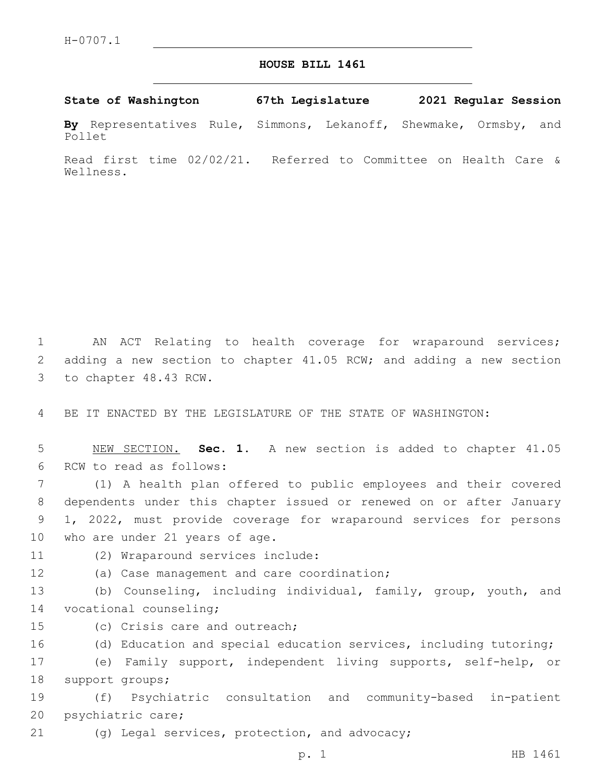## **HOUSE BILL 1461**

## **State of Washington 67th Legislature 2021 Regular Session**

**By** Representatives Rule, Simmons, Lekanoff, Shewmake, Ormsby, and Pollet

Read first time 02/02/21. Referred to Committee on Health Care & Wellness.

1 AN ACT Relating to health coverage for wraparound services; 2 adding a new section to chapter 41.05 RCW; and adding a new section 3 to chapter 48.43 RCW.

4 BE IT ENACTED BY THE LEGISLATURE OF THE STATE OF WASHINGTON:

5 NEW SECTION. **Sec. 1.** A new section is added to chapter 41.05 6 RCW to read as follows:

 (1) A health plan offered to public employees and their covered dependents under this chapter issued or renewed on or after January 1, 2022, must provide coverage for wraparound services for persons 10 who are under 21 years of age.

- 11 (2) Wraparound services include:
- 12 (a) Case management and care coordination;

13 (b) Counseling, including individual, family, group, youth, and 14 vocational counseling;

- 15 (c) Crisis care and outreach;
- 16 (d) Education and special education services, including tutoring;

17 (e) Family support, independent living supports, self-help, or 18 support groups;

19 (f) Psychiatric consultation and community-based in-patient 20 psychiatric care;

21 (g) Legal services, protection, and advocacy;